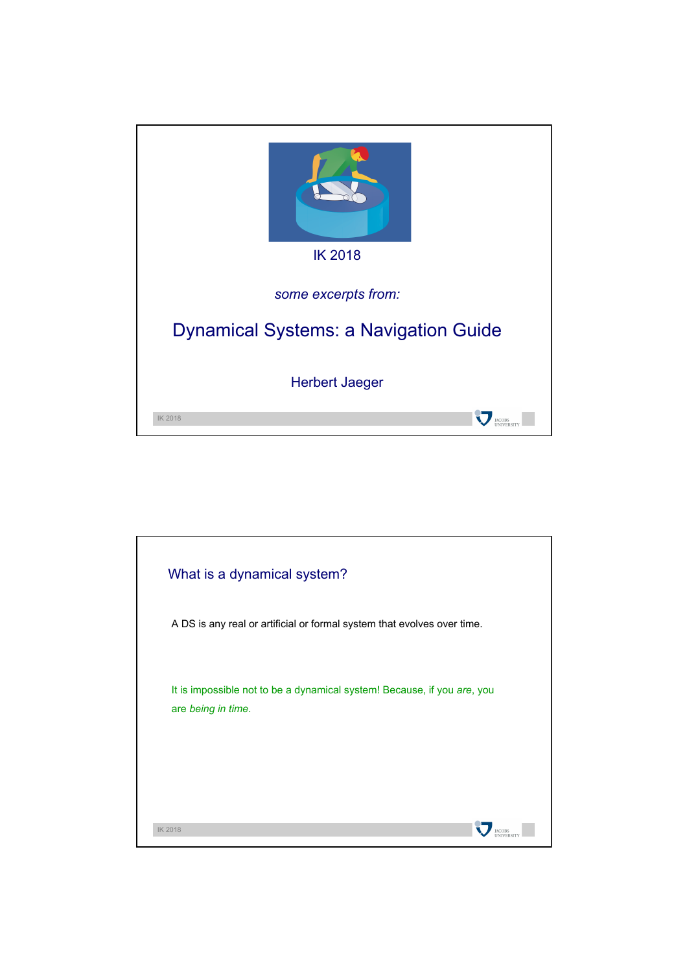

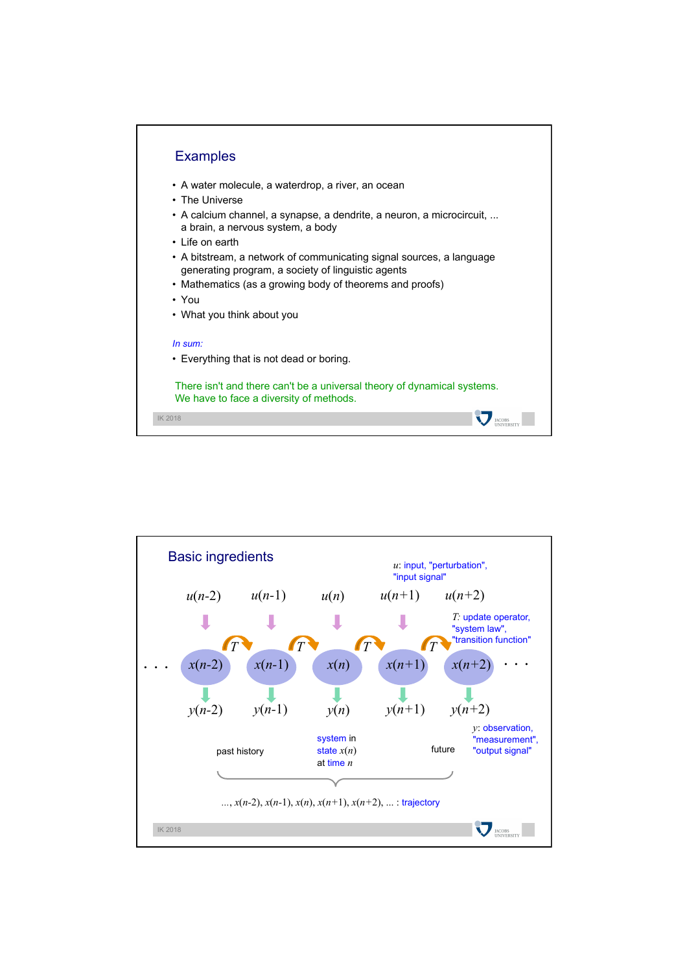

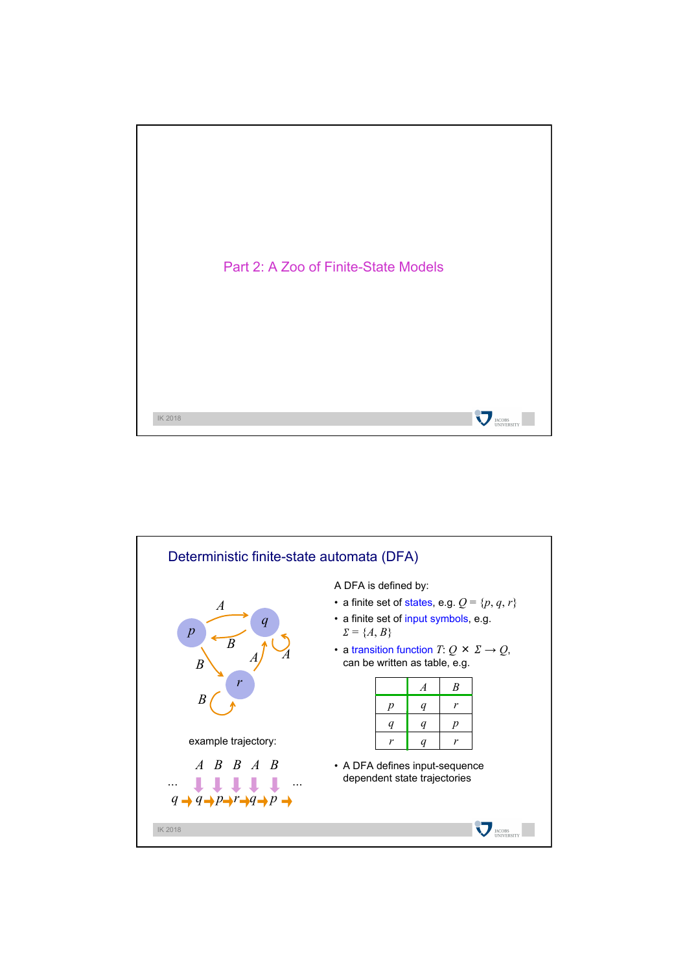

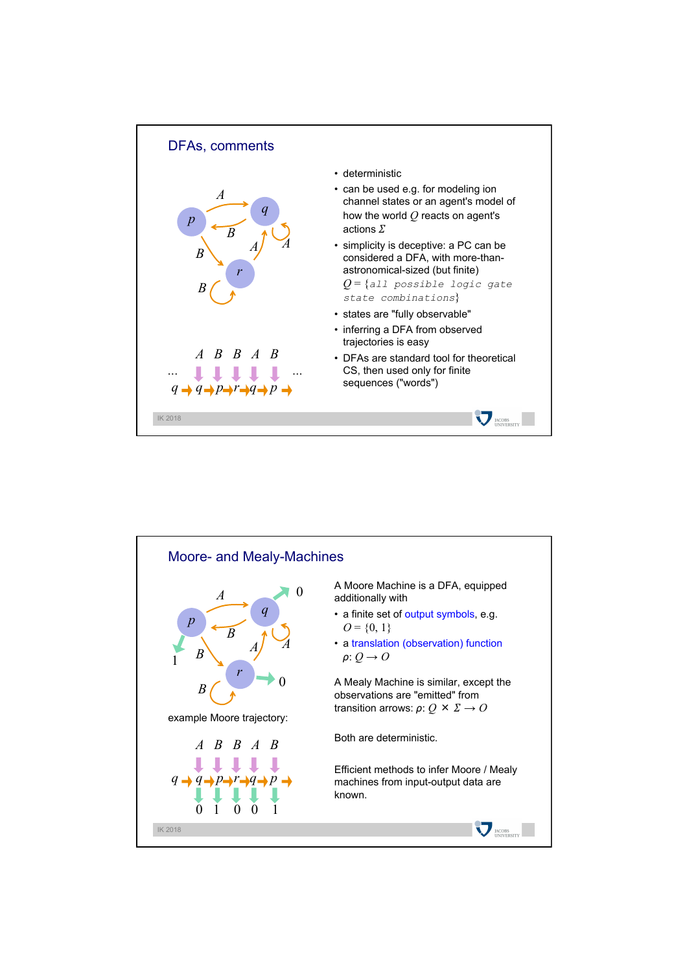

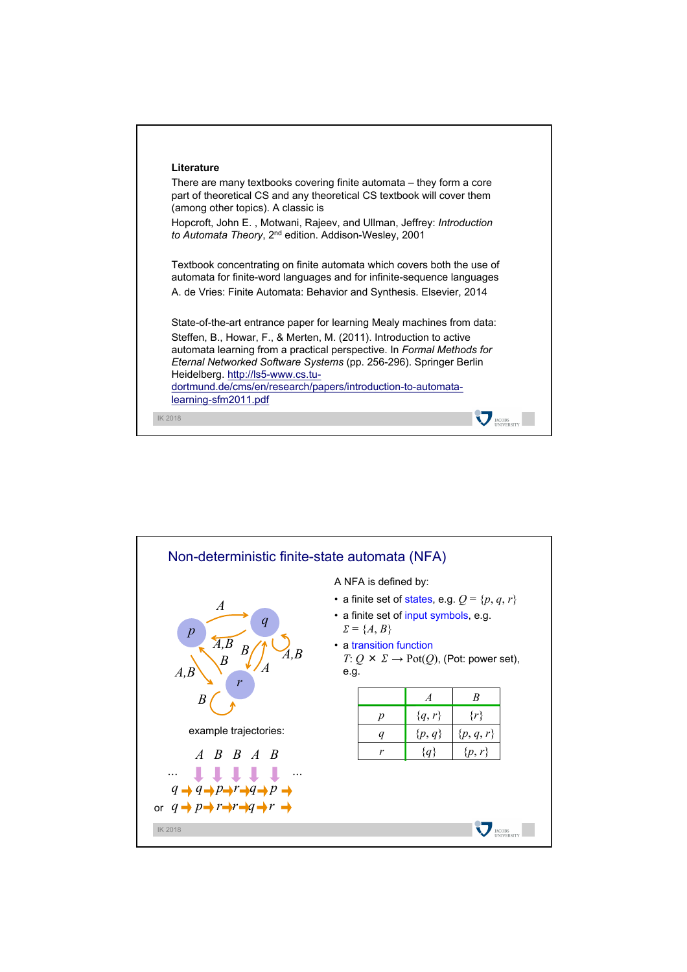

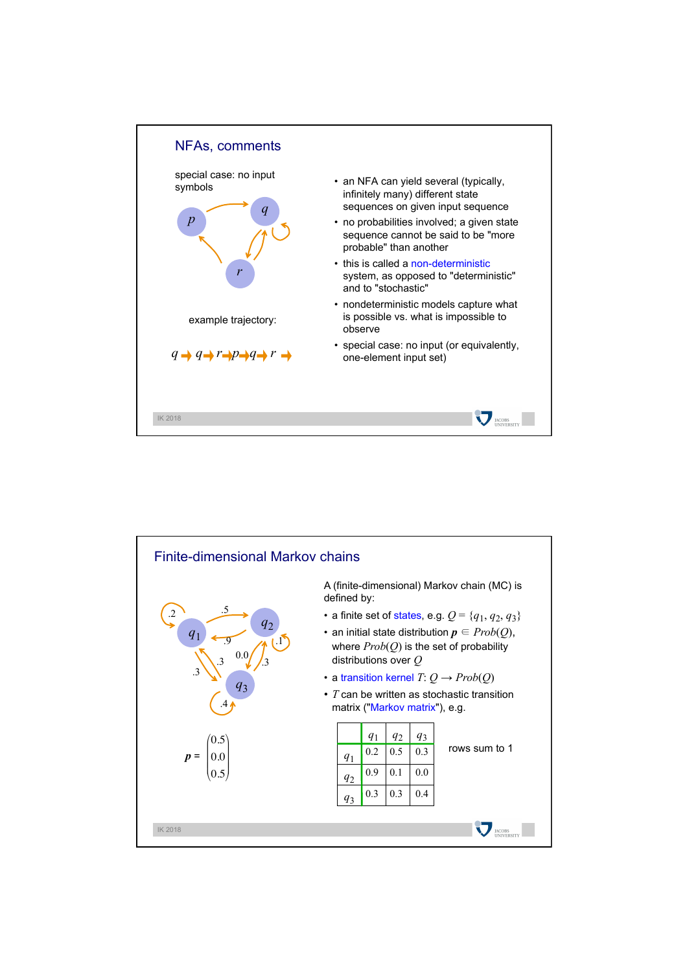

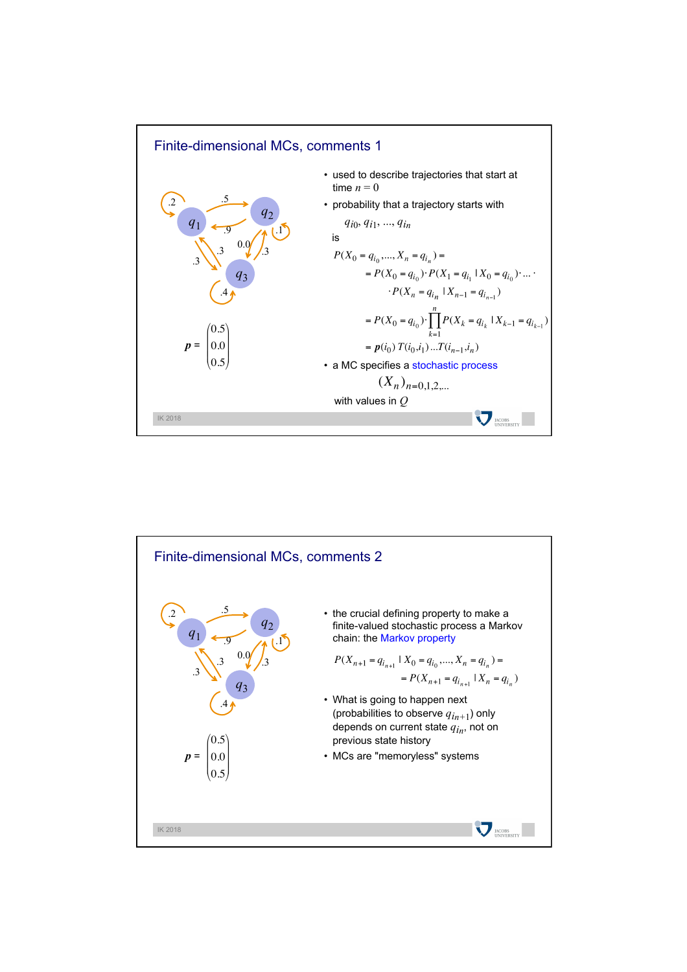

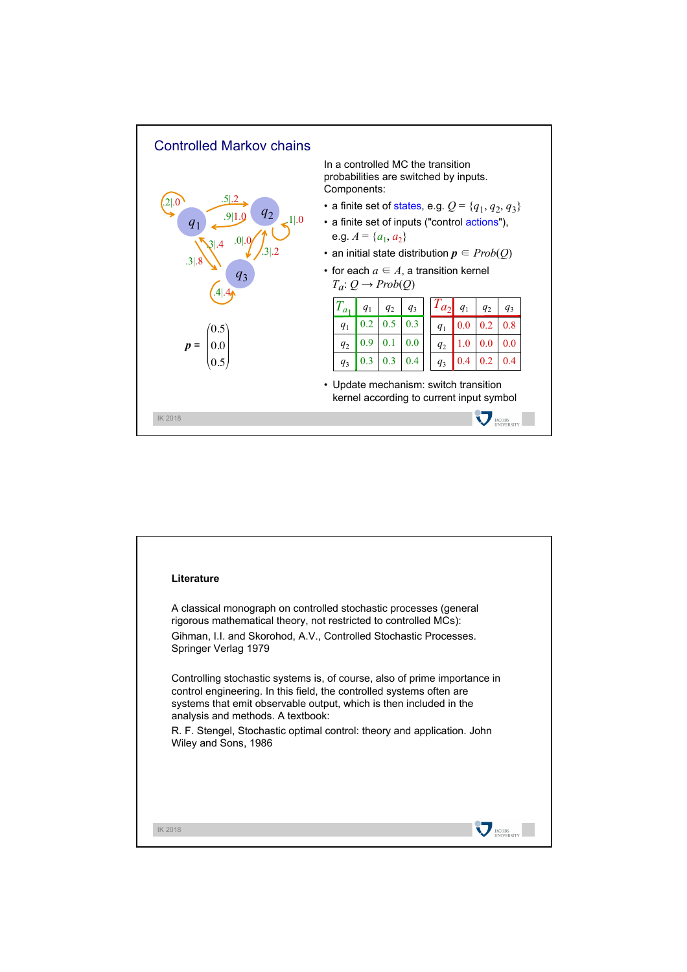

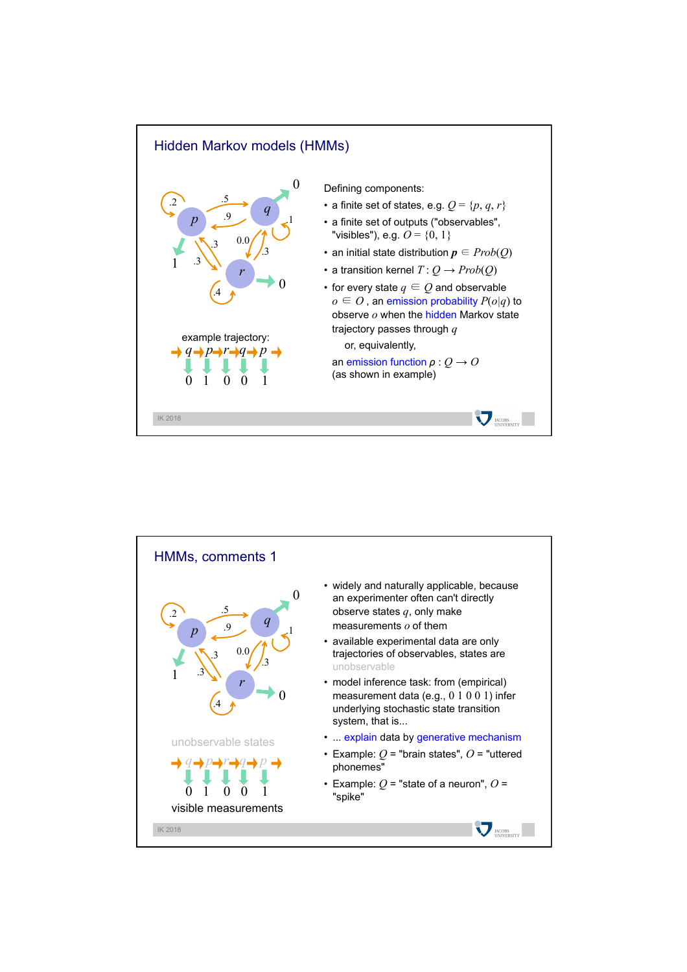

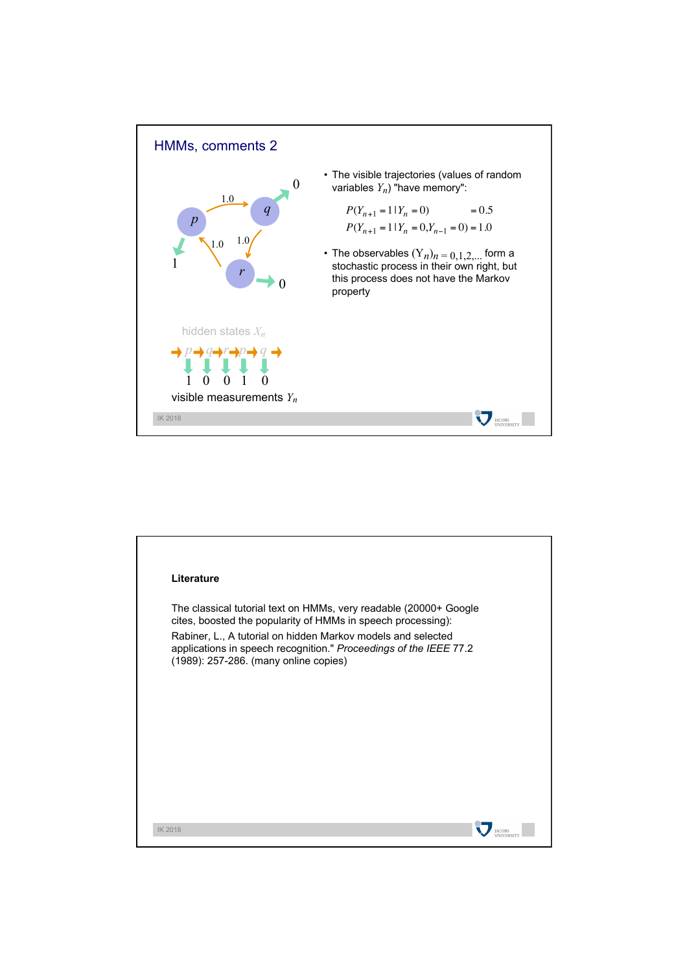